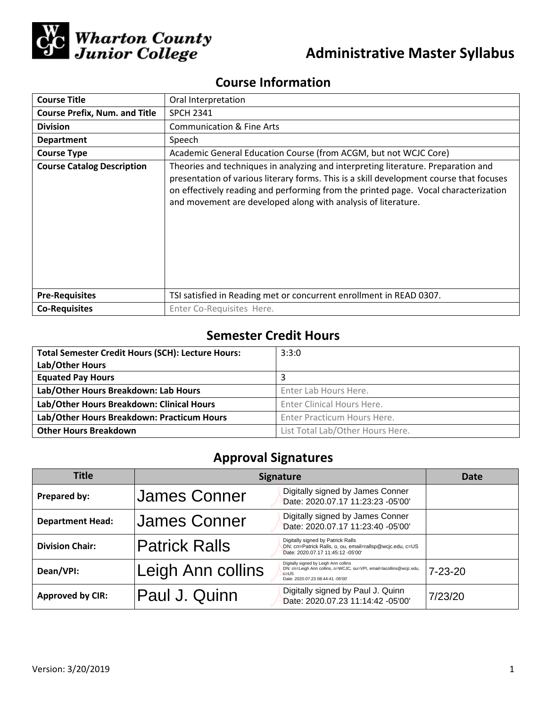

# **Administrative Master Syllabus**

## **Course Information**

| <b>Course Title</b>                  | Oral Interpretation                                                                                                                                                                                                                                                                                                                  |  |  |
|--------------------------------------|--------------------------------------------------------------------------------------------------------------------------------------------------------------------------------------------------------------------------------------------------------------------------------------------------------------------------------------|--|--|
| <b>Course Prefix, Num. and Title</b> | <b>SPCH 2341</b>                                                                                                                                                                                                                                                                                                                     |  |  |
| <b>Division</b>                      | <b>Communication &amp; Fine Arts</b>                                                                                                                                                                                                                                                                                                 |  |  |
| <b>Department</b>                    | Speech                                                                                                                                                                                                                                                                                                                               |  |  |
| <b>Course Type</b>                   | Academic General Education Course (from ACGM, but not WCJC Core)                                                                                                                                                                                                                                                                     |  |  |
| <b>Course Catalog Description</b>    | Theories and techniques in analyzing and interpreting literature. Preparation and<br>presentation of various literary forms. This is a skill development course that focuses<br>on effectively reading and performing from the printed page. Vocal characterization<br>and movement are developed along with analysis of literature. |  |  |
| <b>Pre-Requisites</b>                | TSI satisfied in Reading met or concurrent enrollment in READ 0307.                                                                                                                                                                                                                                                                  |  |  |
| <b>Co-Requisites</b>                 | Enter Co-Requisites Here.                                                                                                                                                                                                                                                                                                            |  |  |

## **Semester Credit Hours**

| <b>Total Semester Credit Hours (SCH): Lecture Hours:</b> | 3:3:0                            |  |
|----------------------------------------------------------|----------------------------------|--|
| Lab/Other Hours                                          |                                  |  |
| <b>Equated Pay Hours</b>                                 |                                  |  |
| Lab/Other Hours Breakdown: Lab Hours                     | Enter Lab Hours Here.            |  |
| Lab/Other Hours Breakdown: Clinical Hours                | Enter Clinical Hours Here.       |  |
| Lab/Other Hours Breakdown: Practicum Hours               | Enter Practicum Hours Here.      |  |
| <b>Other Hours Breakdown</b>                             | List Total Lab/Other Hours Here. |  |

## **Approval Signatures**

| <b>Title</b>            | <b>Signature</b>     |                                                                                                                                                               | Date          |
|-------------------------|----------------------|---------------------------------------------------------------------------------------------------------------------------------------------------------------|---------------|
| Prepared by:            | <b>James Conner</b>  | Digitally signed by James Conner<br>Date: 2020.07.17 11:23:23 -05'00'                                                                                         |               |
| <b>Department Head:</b> | <b>James Conner</b>  | Digitally signed by James Conner<br>Date: 2020.07.17 11:23:40 -05'00'                                                                                         |               |
| <b>Division Chair:</b>  | <b>Patrick Ralls</b> | Digitally signed by Patrick Ralls<br>DN: cn=Patrick Ralls, o, ou, email=rallsp@wcjc.edu, c=US<br>Date: 2020.07.17 11:45:12 -05'00'                            |               |
| Dean/VPI:               | Leigh Ann collins    | Digitally signed by Leigh Ann collins<br>DN: cn=Leigh Ann collins, o=WCJC, ou=VPI, email=lacollins@wcjc.edu,<br>$c = US$<br>Date: 2020.07.23 08:44:41 -05'00' | $7 - 23 - 20$ |
| <b>Approved by CIR:</b> | Paul J. Quinn        | Digitally signed by Paul J. Quinn<br>Date: 2020.07.23 11:14:42 -05'00'                                                                                        | 7/23/20       |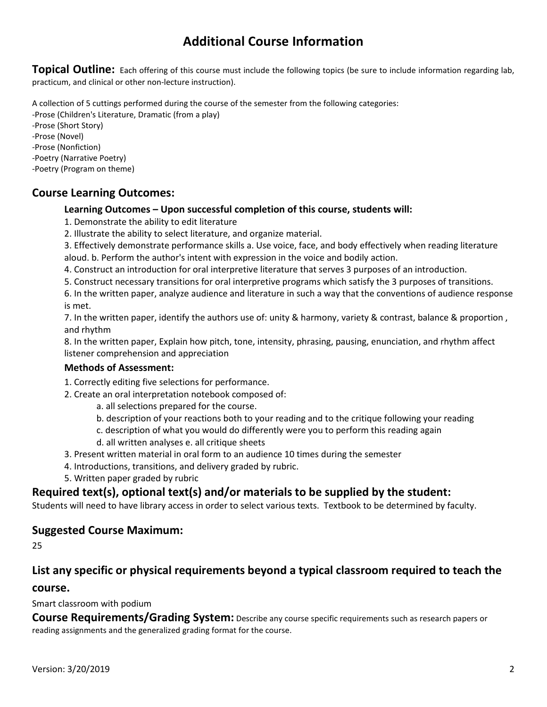## **Additional Course Information**

**Topical Outline:** Each offering of this course must include the following topics (be sure to include information regarding lab, practicum, and clinical or other non-lecture instruction).

A collection of 5 cuttings performed during the course of the semester from the following categories:

-Prose (Children's Literature, Dramatic (from a play)

-Prose (Short Story) -Prose (Novel)

- -Prose (Nonfiction)
- -Poetry (Narrative Poetry)
- -Poetry (Program on theme)

### **Course Learning Outcomes:**

#### **Learning Outcomes – Upon successful completion of this course, students will:**

- 1. Demonstrate the ability to edit literature
- 2. Illustrate the ability to select literature, and organize material.
- 3. Effectively demonstrate performance skills a. Use voice, face, and body effectively when reading literature aloud. b. Perform the author's intent with expression in the voice and bodily action.
- 4. Construct an introduction for oral interpretive literature that serves 3 purposes of an introduction.
- 5. Construct necessary transitions for oral interpretive programs which satisfy the 3 purposes of transitions.

6. In the written paper, analyze audience and literature in such a way that the conventions of audience response is met.

7. In the written paper, identify the authors use of: unity & harmony, variety & contrast, balance & proportion , and rhythm

8. In the written paper, Explain how pitch, tone, intensity, phrasing, pausing, enunciation, and rhythm affect listener comprehension and appreciation

#### **Methods of Assessment:**

- 1. Correctly editing five selections for performance.
- 2. Create an oral interpretation notebook composed of:
	- a. all selections prepared for the course.
	- b. description of your reactions both to your reading and to the critique following your reading
	- c. description of what you would do differently were you to perform this reading again
	- d. all written analyses e. all critique sheets
- 3. Present written material in oral form to an audience 10 times during the semester
- 4. Introductions, transitions, and delivery graded by rubric.
- 5. Written paper graded by rubric

### **Required text(s), optional text(s) and/or materials to be supplied by the student:**

Students will need to have library access in order to select various texts. Textbook to be determined by faculty.

### **Suggested Course Maximum:**

25

#### **List any specific or physical requirements beyond a typical classroom required to teach the**

#### **course.**

Smart classroom with podium

**Course Requirements/Grading System:** Describe any course specific requirements such as research papers or reading assignments and the generalized grading format for the course.